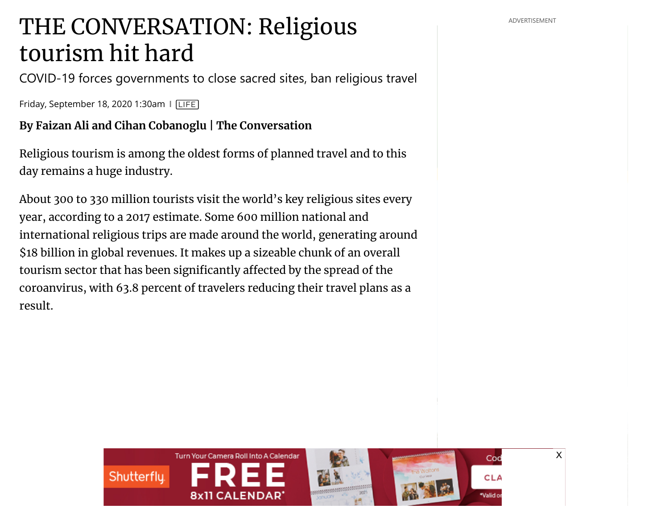## THE CONVERSATION: Religious **CONVERSATION:** Religious tourism hit hard

COVID-19 forces governments to close sacred sites, ban religious travel

Friday, September 18, 2020 1:30am ❙ [LIFE](https://www.peninsuladailynews.com/life/)

**By Faizan Ali and Cihan Cobanoglu | The Conversation**

Religious tourism is among the oldest forms of planned travel and to this day remains a huge industry.

About 300 to 330 million tourists visit the world's key religious sites every year, according to a 2017 estimate. Some 600 million national and international religious trips are made around the world, generating around \$18 billion in global revenues. It makes up a sizeable chunk of an overall tourism sector that has been significantly affected by the spread of the coroanvirus, with 63.8 percent of travelers reducing their travel plans as a result.



[X](https://googleads.g.doubleclick.net/pcs/click?xai=AKAOjssQSp0d5cHgaBOJXRJyz8RDEztDWsKjwFNn5AVMluEdfa5lrfUI0LMwklDW0Wxe0Y7kcvsVqZ8GhjQT4n9TFynkMEkbmDkMj7mmo2pt_yHeazfoGnhaiEKTR3GkdmHqM20EIWWmmQ-7qoAjwH34pnbpr_OcTnhoOYysk4y_TwqjAsJT7bRIzZC6hU5Sip9TO7UD6yGR-TItRG7J3fmZkmAAx1rvZPMrsy8qH9bPU96JYycWEmXnXgrStceruZ-tdcLL5he6&sig=Cg0ArKJSzCo6lbZfJp89&adurl=http://swainsinc.com%3Futm_source%3DOandO%26utm_medium%3DBrandAwareness%26utm_campaign%3DSP_SwainsGeneralStore_207-000961-001)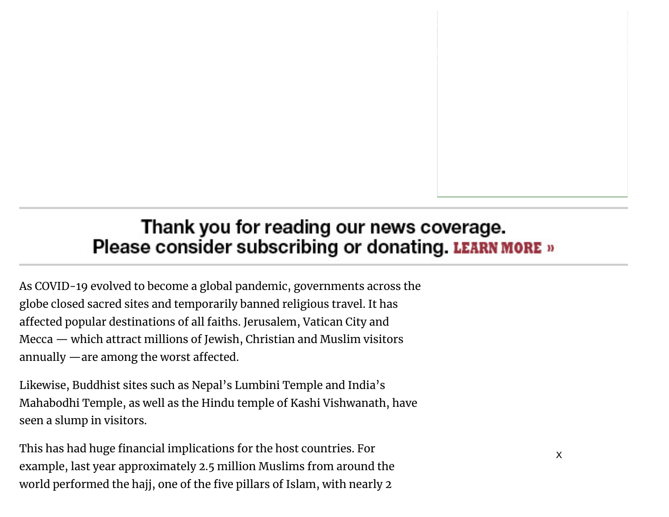## Thank you for reading our news coverage. Please consider subscribing or donating. LEARN MORE »

As COVID-19 evolved to become a global pandemic, governments across the globe closed sacred sites and temporarily banned religious travel. It has affected popular destinations of all faiths. Jerusalem, Vatican City and Mecca — which attract millions of Jewish, Christian and Muslim visitors annually  $\rightharpoonup$  are among the worst affected.

Likewise, Buddhist sites such as Nepal's Lumbini Temple and India's Mahabodhi Temple, as well as the Hindu temple of Kashi Vishwanath, have seen a slump in visitors.

This has had huge financial implications for the host countries. For example, last year approximately 2.5 million Muslims from around the world performed [th](https://nextmillennium.io/)e hajj, one of the five pillars of Islam, with nearly 2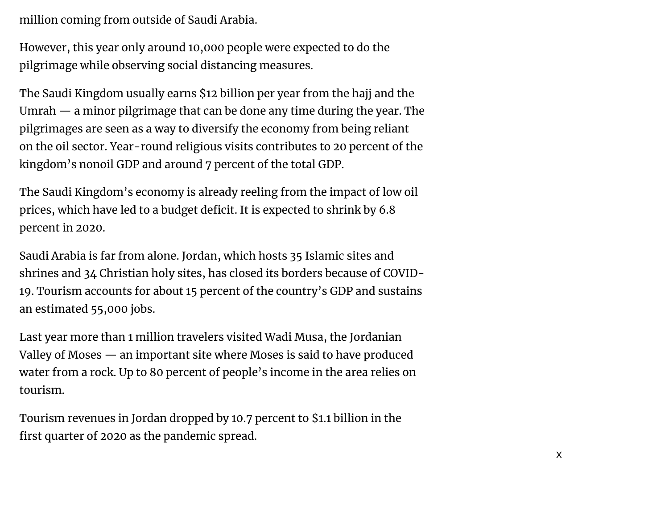million coming from outside of Saudi Arabia.

However, this year only around 10,000 people were expected to do the pilgrimage while observing social distancing measures.

The Saudi Kingdom usually earns \$12 billion per year from the hajj and the Umrah — a minor pilgrimage that can be done any time during the year. The pilgrimages are seen as a way to diversify the economy from being reliant on the oil sector. Year-round religious visits contributes to 20 percent of the kingdom's nonoil GDP and around 7 percent of the total GDP.

The Saudi Kingdom's economy is already reeling from the impact of low oil prices, which have led to a budget deficit. It is expected to shrink by 6.8 percent in 2020.

Saudi Arabia is far from alone. Jordan, which hosts 35 Islamic sites and shrines and 34 Christian holy sites, has closed its borders because of COVID-19. Tourism accounts for about 15 percent of the country's GDP and sustains an estimated 55,000 jobs.

Last year more than 1 million travelers visited Wadi Musa, the Jordanian Valley of Moses — an important site where Moses is said to have produced water from a rock. Up to 80 percent of people's income in the area relies on tourism.

Tourism revenues in Jordan dropped by 10.7 percent to \$1.1 billion in the first quarter of 2020 as the pandemic spread.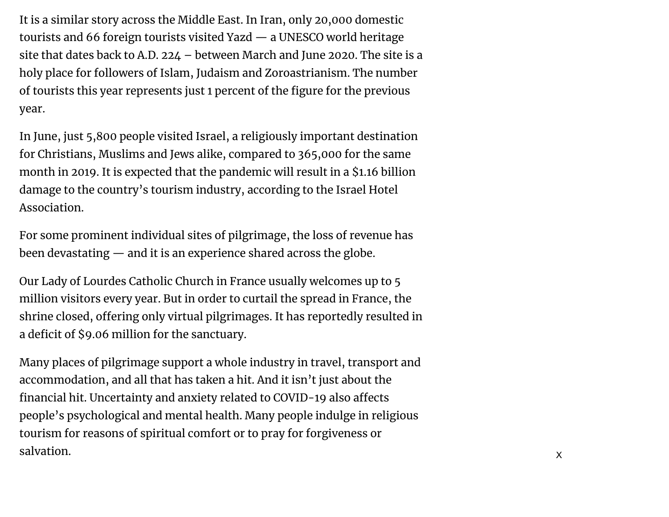It is a similar story across the Middle East. In Iran, only 20,000 domestic tourists and 66 foreign tourists visited Yazd — a UNESCO world heritage site that dates back to A.D. 224 – between March and June 2020. The site is a holy place for followers of Islam, Judaism and Zoroastrianism. The number of tourists this year represents just 1 percent of the figure for the previous year.

In June, just 5,800 people visited Israel, a religiously important destination for Christians, Muslims and Jews alike, compared to 365,000 for the same month in 2019. It is expected that the pandemic will result in a \$1.16 billion damage to the country's tourism industry, according to the Israel Hotel Association.

For some prominent individual sites of pilgrimage, the loss of revenue has been devastating — and it is an experience shared across the globe.

Our Lady of Lourdes Catholic Church in France usually welcomes up to 5 million visitors every year. But in order to curtail the spread in France, the shrine closed, offering only virtual pilgrimages. It has reportedly resulted in a deficit of \$9.06 million for the sanctuary.

Many places of pilgrimage support a whole industry in travel, transport and accommodation, and all that has taken a hit. And it isn't just about the financial hit. Uncertainty and anxiety related to COVID-19 also affects people's psychological and mental health. Many people indulge in religious tourism for reasons of spiritual comfort or to pray for forgiveness or salvation. XXIII and the same set of the same set of the same set of the same set of the same set of the same s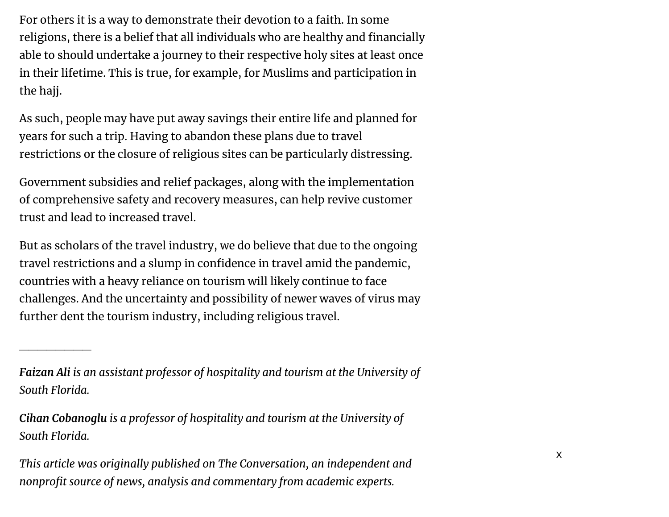For others it is a way to demonstrate their devotion to a faith. In some religions, there is a belief that all individuals who are healthy and financially able to should undertake a journey to their respective holy sites at least once in their lifetime. This is true, for example, for Muslims and participation in the hajj.

As such, people may have put away savings their entire life and planned for years for such a trip. Having to abandon these plans due to travel restrictions or the closure of religious sites can be particularly distressing.

Government subsidies and relief packages, along with the implementation of comprehensive safety and recovery measures, can help revive customer trust and lead to increased travel.

But as scholars of the travel industry, we do believe that due to the ongoing travel restrictions and a slump in confidence in travel amid the pandemic, countries with a heavy reliance on tourism will likely continue to face challenges. And the uncertainty and possibility of newer waves of virus may further dent the tourism industry, including religious travel.

*Faizan Ali is an assistant professor of hospitality and tourism at the University of South Florida.*

 $\overline{\phantom{a}}$  . The contract of the contract of the contract of the contract of the contract of the contract of the contract of the contract of the contract of the contract of the contract of the contract of the contract of

*Cihan Cobanoglu is a professor of hospitality and tourism at the University of South Florida.*

*This article was originally published on The Conversation, an independent and nonprofit source of news, analysis and commentary from academic experts.*